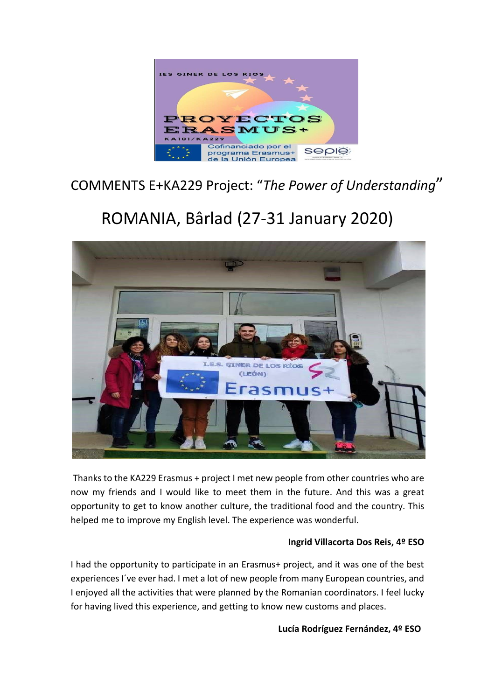

# COMMENTS E+KA229 Project: "*The Power of Understanding*"

# ROMANIA, Bârlad (27-31 January 2020)



Thanks to the KA229 Erasmus + project I met new people from other countries who are now my friends and I would like to meet them in the future. And this was a great opportunity to get to know another culture, the traditional food and the country. This helped me to improve my English level. The experience was wonderful.

## **Ingrid Villacorta Dos Reis, 4º ESO**

I had the opportunity to participate in an Erasmus+ project, and it was one of the best experiences I´ve ever had. I met a lot of new people from many European countries, and I enjoyed all the activities that were planned by the Romanian coordinators. I feel lucky for having lived this experience, and getting to know new customs and places.

#### **Lucía Rodríguez Fernández, 4º ESO**